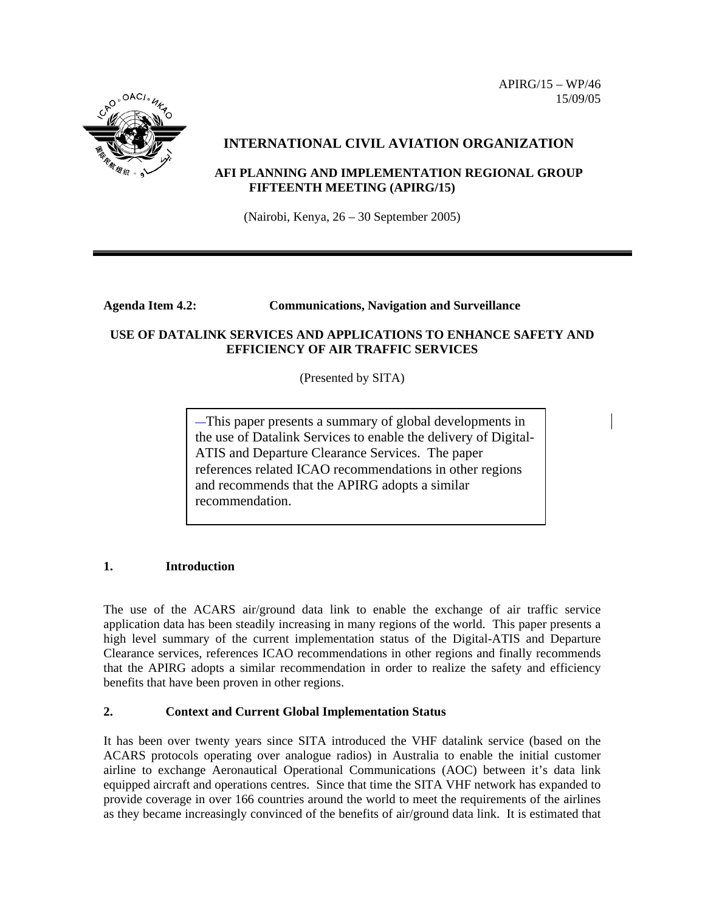APIRG/15 – WP/46 15/09/05



# **INTERNATIONAL CIVIL AVIATION ORGANIZATION**

## **AFI PLANNING AND IMPLEMENTATION REGIONAL GROUP FIFTEENTH MEETING (APIRG/15)**

(Nairobi, Kenya, 26 – 30 September 2005)

## **Agenda Item 4.2: Communications, Navigation and Surveillance**

## **USE OF DATALINK SERVICES AND APPLICATIONS TO ENHANCE SAFETY AND EFFICIENCY OF AIR TRAFFIC SERVICES**

(Presented by SITA)

This paper presents a summary of global developments in the use of Datalink Services to enable the delivery of Digital-ATIS and Departure Clearance Services. The paper references related ICAO recommendations in other regions and recommends that the APIRG adopts a similar recommendation.

## **1. Introduction**

The use of the ACARS air/ground data link to enable the exchange of air traffic service application data has been steadily increasing in many regions of the world. This paper presents a high level summary of the current implementation status of the Digital-ATIS and Departure Clearance services, references ICAO recommendations in other regions and finally recommends that the APIRG adopts a similar recommendation in order to realize the safety and efficiency benefits that have been proven in other regions.

## **2. Context and Current Global Implementation Status**

It has been over twenty years since SITA introduced the VHF datalink service (based on the ACARS protocols operating over analogue radios) in Australia to enable the initial customer airline to exchange Aeronautical Operational Communications (AOC) between it's data link equipped aircraft and operations centres. Since that time the SITA VHF network has expanded to provide coverage in over 166 countries around the world to meet the requirements of the airlines as they became increasingly convinced of the benefits of air/ground data link. It is estimated that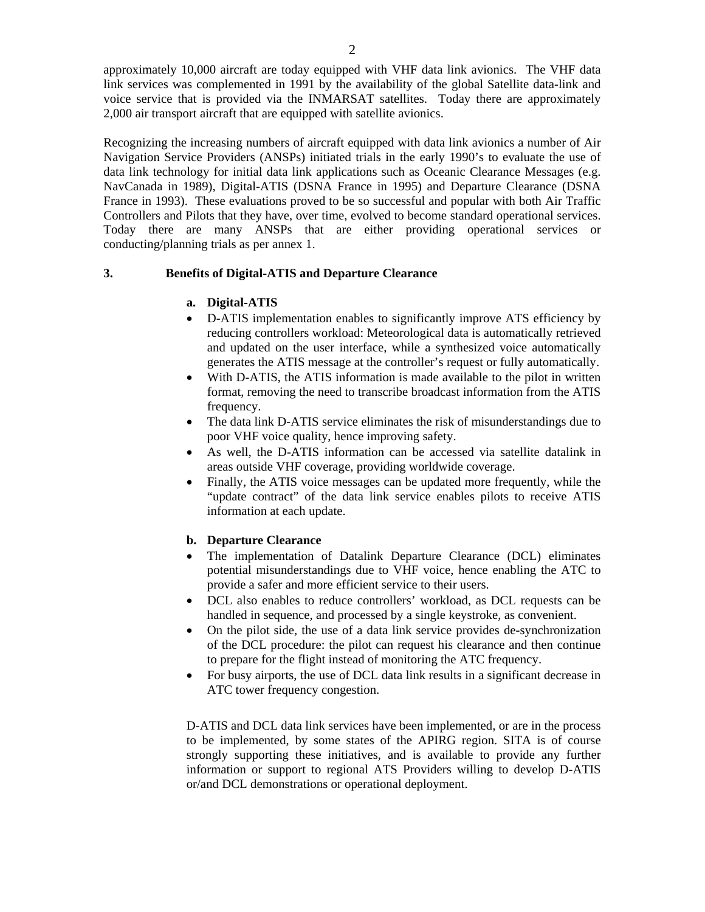approximately 10,000 aircraft are today equipped with VHF data link avionics. The VHF data link services was complemented in 1991 by the availability of the global Satellite data-link and voice service that is provided via the INMARSAT satellites. Today there are approximately 2,000 air transport aircraft that are equipped with satellite avionics.

Recognizing the increasing numbers of aircraft equipped with data link avionics a number of Air Navigation Service Providers (ANSPs) initiated trials in the early 1990's to evaluate the use of data link technology for initial data link applications such as Oceanic Clearance Messages (e.g. NavCanada in 1989), Digital-ATIS (DSNA France in 1995) and Departure Clearance (DSNA France in 1993). These evaluations proved to be so successful and popular with both Air Traffic Controllers and Pilots that they have, over time, evolved to become standard operational services. Today there are many ANSPs that are either providing operational services or conducting/planning trials as per annex 1.

## **3. Benefits of Digital-ATIS and Departure Clearance**

## **a. Digital-ATIS**

- D-ATIS implementation enables to significantly improve ATS efficiency by reducing controllers workload: Meteorological data is automatically retrieved and updated on the user interface, while a synthesized voice automatically generates the ATIS message at the controller's request or fully automatically.
- With D-ATIS, the ATIS information is made available to the pilot in written format, removing the need to transcribe broadcast information from the ATIS frequency.
- The data link D-ATIS service eliminates the risk of misunderstandings due to poor VHF voice quality, hence improving safety.
- As well, the D-ATIS information can be accessed via satellite datalink in areas outside VHF coverage, providing worldwide coverage.
- Finally, the ATIS voice messages can be updated more frequently, while the "update contract" of the data link service enables pilots to receive ATIS information at each update.

## **b. Departure Clearance**

- The implementation of Datalink Departure Clearance (DCL) eliminates potential misunderstandings due to VHF voice, hence enabling the ATC to provide a safer and more efficient service to their users.
- DCL also enables to reduce controllers' workload, as DCL requests can be handled in sequence, and processed by a single keystroke, as convenient.
- On the pilot side, the use of a data link service provides de-synchronization of the DCL procedure: the pilot can request his clearance and then continue to prepare for the flight instead of monitoring the ATC frequency.
- For busy airports, the use of DCL data link results in a significant decrease in ATC tower frequency congestion.

D-ATIS and DCL data link services have been implemented, or are in the process to be implemented, by some states of the APIRG region. SITA is of course strongly supporting these initiatives, and is available to provide any further information or support to regional ATS Providers willing to develop D-ATIS or/and DCL demonstrations or operational deployment.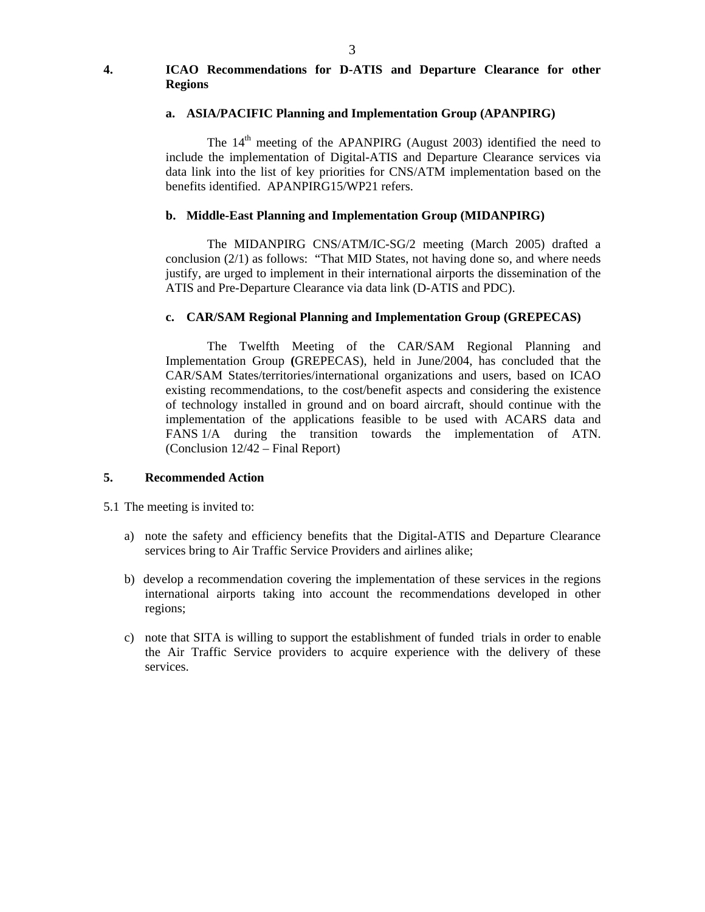#### **4. ICAO Recommendations for D-ATIS and Departure Clearance for other Regions**

#### **a. ASIA/PACIFIC Planning and Implementation Group (APANPIRG)**

The  $14<sup>th</sup>$  meeting of the APANPIRG (August 2003) identified the need to include the implementation of Digital-ATIS and Departure Clearance services via data link into the list of key priorities for CNS/ATM implementation based on the benefits identified. APANPIRG15/WP21 refers.

#### **b. Middle-East Planning and Implementation Group (MIDANPIRG)**

The MIDANPIRG CNS/ATM/IC-SG/2 meeting (March 2005) drafted a conclusion (2/1) as follows: "That MID States, not having done so, and where needs justify, are urged to implement in their international airports the dissemination of the ATIS and Pre-Departure Clearance via data link (D-ATIS and PDC).

#### **c. CAR/SAM Regional Planning and Implementation Group (GREPECAS)**

The Twelfth Meeting of the CAR/SAM Regional Planning and Implementation Group **(**GREPECAS), held in June/2004, has concluded that the CAR/SAM States/territories/international organizations and users, based on ICAO existing recommendations, to the cost/benefit aspects and considering the existence of technology installed in ground and on board aircraft, should continue with the implementation of the applications feasible to be used with ACARS data and FANS 1/A during the transition towards the implementation of ATN. (Conclusion 12/42 – Final Report)

#### **5. Recommended Action**

- 5.1 The meeting is invited to:
	- a) note the safety and efficiency benefits that the Digital-ATIS and Departure Clearance services bring to Air Traffic Service Providers and airlines alike;
	- b) develop a recommendation covering the implementation of these services in the regions international airports taking into account the recommendations developed in other regions;
	- c) note that SITA is willing to support the establishment of funded trials in order to enable the Air Traffic Service providers to acquire experience with the delivery of these services.